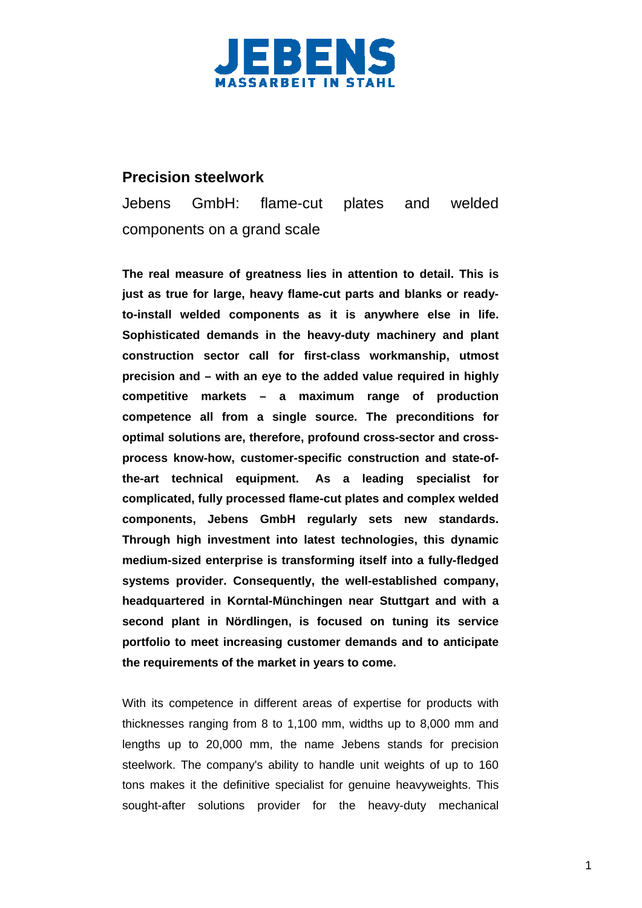

## **Precision steelwork**

Jebens GmbH: flame-cut plates and welded components on a grand scale

**The real measure of greatness lies in attention to detail. This is just as true for large, heavy flame-cut parts and blanks or readyto-install welded components as it is anywhere else in life. Sophisticated demands in the heavy-duty machinery and plant construction sector call for first-class workmanship, utmost precision and – with an eye to the added value required in highly competitive markets – a maximum range of production competence all from a single source. The preconditions for optimal solutions are, therefore, profound cross-sector and crossprocess know-how, customer-specific construction and state-ofthe-art technical equipment. As a leading specialist for complicated, fully processed flame-cut plates and complex welded components, Jebens GmbH regularly sets new standards. Through high investment into latest technologies, this dynamic medium-sized enterprise is transforming itself into a fully-fledged systems provider. Consequently, the well-established company, headquartered in Korntal-Münchingen near Stuttgart and with a second plant in Nördlingen, is focused on tuning its service portfolio to meet increasing customer demands and to anticipate the requirements of the market in years to come.** 

With its competence in different areas of expertise for products with thicknesses ranging from 8 to 1,100 mm, widths up to 8,000 mm and lengths up to 20,000 mm, the name Jebens stands for precision steelwork. The company's ability to handle unit weights of up to 160 tons makes it the definitive specialist for genuine heavyweights. This sought-after solutions provider for the heavy-duty mechanical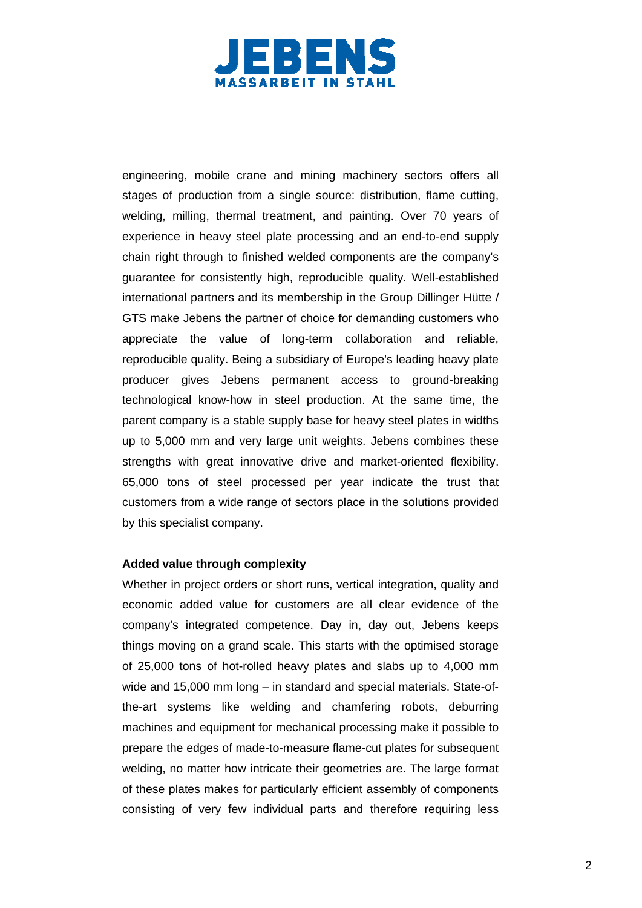

engineering, mobile crane and mining machinery sectors offers all stages of production from a single source: distribution, flame cutting, welding, milling, thermal treatment, and painting. Over 70 years of experience in heavy steel plate processing and an end-to-end supply chain right through to finished welded components are the company's guarantee for consistently high, reproducible quality. Well-established international partners and its membership in the Group Dillinger Hütte / GTS make Jebens the partner of choice for demanding customers who appreciate the value of long-term collaboration and reliable, reproducible quality. Being a subsidiary of Europe's leading heavy plate producer gives Jebens permanent access to ground-breaking technological know-how in steel production. At the same time, the parent company is a stable supply base for heavy steel plates in widths up to 5,000 mm and very large unit weights. Jebens combines these strengths with great innovative drive and market-oriented flexibility. 65,000 tons of steel processed per year indicate the trust that customers from a wide range of sectors place in the solutions provided by this specialist company.

### **Added value through complexity**

Whether in project orders or short runs, vertical integration, quality and economic added value for customers are all clear evidence of the company's integrated competence. Day in, day out, Jebens keeps things moving on a grand scale. This starts with the optimised storage of 25,000 tons of hot-rolled heavy plates and slabs up to 4,000 mm wide and 15,000 mm long – in standard and special materials. State-ofthe-art systems like welding and chamfering robots, deburring machines and equipment for mechanical processing make it possible to prepare the edges of made-to-measure flame-cut plates for subsequent welding, no matter how intricate their geometries are. The large format of these plates makes for particularly efficient assembly of components consisting of very few individual parts and therefore requiring less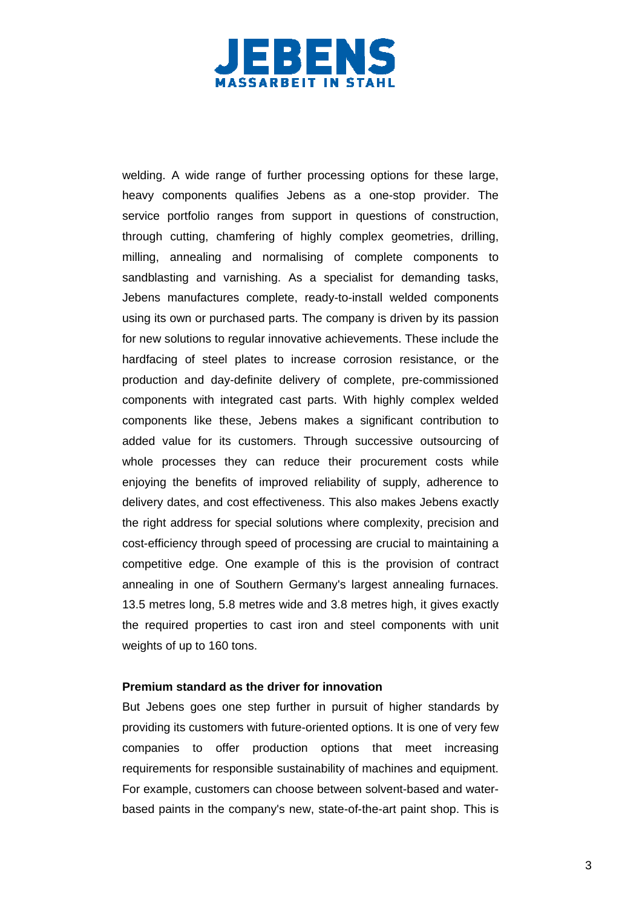

welding. A wide range of further processing options for these large, heavy components qualifies Jebens as a one-stop provider. The service portfolio ranges from support in questions of construction, through cutting, chamfering of highly complex geometries, drilling, milling, annealing and normalising of complete components to sandblasting and varnishing. As a specialist for demanding tasks, Jebens manufactures complete, ready-to-install welded components using its own or purchased parts. The company is driven by its passion for new solutions to regular innovative achievements. These include the hardfacing of steel plates to increase corrosion resistance, or the production and day-definite delivery of complete, pre-commissioned components with integrated cast parts. With highly complex welded components like these, Jebens makes a significant contribution to added value for its customers. Through successive outsourcing of whole processes they can reduce their procurement costs while enjoying the benefits of improved reliability of supply, adherence to delivery dates, and cost effectiveness. This also makes Jebens exactly the right address for special solutions where complexity, precision and cost-efficiency through speed of processing are crucial to maintaining a competitive edge. One example of this is the provision of contract annealing in one of Southern Germany's largest annealing furnaces. 13.5 metres long, 5.8 metres wide and 3.8 metres high, it gives exactly the required properties to cast iron and steel components with unit weights of up to 160 tons.

#### **Premium standard as the driver for innovation**

But Jebens goes one step further in pursuit of higher standards by providing its customers with future-oriented options. It is one of very few companies to offer production options that meet increasing requirements for responsible sustainability of machines and equipment. For example, customers can choose between solvent-based and waterbased paints in the company's new, state-of-the-art paint shop. This is